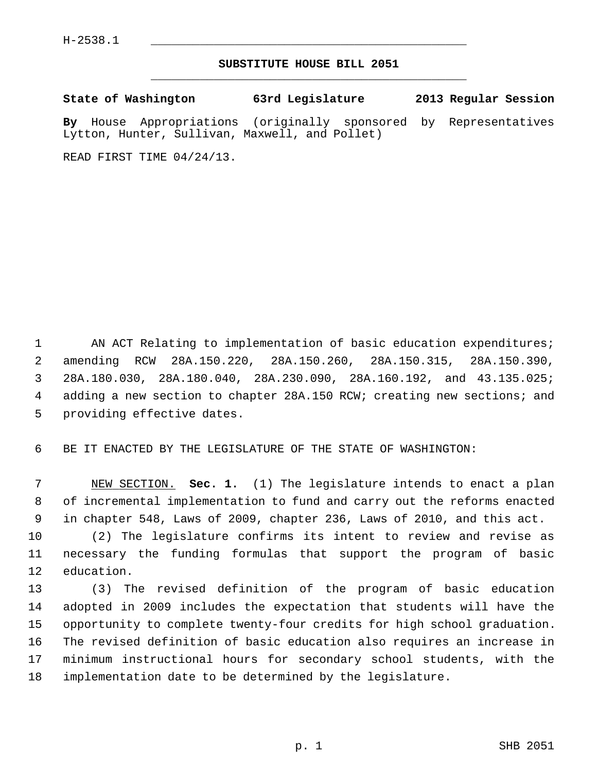## **SUBSTITUTE HOUSE BILL 2051** \_\_\_\_\_\_\_\_\_\_\_\_\_\_\_\_\_\_\_\_\_\_\_\_\_\_\_\_\_\_\_\_\_\_\_\_\_\_\_\_\_\_\_\_\_

**State of Washington 63rd Legislature 2013 Regular Session**

**By** House Appropriations (originally sponsored by Representatives Lytton, Hunter, Sullivan, Maxwell, and Pollet)

READ FIRST TIME 04/24/13.

1 AN ACT Relating to implementation of basic education expenditures; 2 amending RCW 28A.150.220, 28A.150.260, 28A.150.315, 28A.150.390, 3 28A.180.030, 28A.180.040, 28A.230.090, 28A.160.192, and 43.135.025; 4 adding a new section to chapter 28A.150 RCW; creating new sections; and 5 providing effective dates.

6 BE IT ENACTED BY THE LEGISLATURE OF THE STATE OF WASHINGTON:

 7 NEW SECTION. **Sec. 1.** (1) The legislature intends to enact a plan 8 of incremental implementation to fund and carry out the reforms enacted 9 in chapter 548, Laws of 2009, chapter 236, Laws of 2010, and this act.

10 (2) The legislature confirms its intent to review and revise as 11 necessary the funding formulas that support the program of basic 12 education.

13 (3) The revised definition of the program of basic education 14 adopted in 2009 includes the expectation that students will have the 15 opportunity to complete twenty-four credits for high school graduation. 16 The revised definition of basic education also requires an increase in 17 minimum instructional hours for secondary school students, with the 18 implementation date to be determined by the legislature.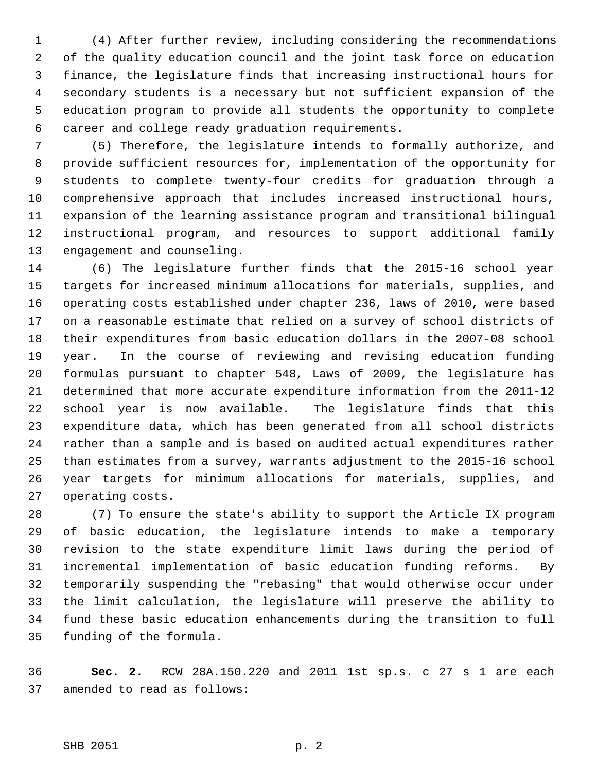1 (4) After further review, including considering the recommendations 2 of the quality education council and the joint task force on education 3 finance, the legislature finds that increasing instructional hours for 4 secondary students is a necessary but not sufficient expansion of the 5 education program to provide all students the opportunity to complete 6 career and college ready graduation requirements.

 7 (5) Therefore, the legislature intends to formally authorize, and 8 provide sufficient resources for, implementation of the opportunity for 9 students to complete twenty-four credits for graduation through a 10 comprehensive approach that includes increased instructional hours, 11 expansion of the learning assistance program and transitional bilingual 12 instructional program, and resources to support additional family 13 engagement and counseling.

14 (6) The legislature further finds that the 2015-16 school year 15 targets for increased minimum allocations for materials, supplies, and 16 operating costs established under chapter 236, laws of 2010, were based 17 on a reasonable estimate that relied on a survey of school districts of 18 their expenditures from basic education dollars in the 2007-08 school 19 year. In the course of reviewing and revising education funding 20 formulas pursuant to chapter 548, Laws of 2009, the legislature has 21 determined that more accurate expenditure information from the 2011-12 22 school year is now available. The legislature finds that this 23 expenditure data, which has been generated from all school districts 24 rather than a sample and is based on audited actual expenditures rather 25 than estimates from a survey, warrants adjustment to the 2015-16 school 26 year targets for minimum allocations for materials, supplies, and 27 operating costs.

28 (7) To ensure the state's ability to support the Article IX program 29 of basic education, the legislature intends to make a temporary 30 revision to the state expenditure limit laws during the period of 31 incremental implementation of basic education funding reforms. By 32 temporarily suspending the "rebasing" that would otherwise occur under 33 the limit calculation, the legislature will preserve the ability to 34 fund these basic education enhancements during the transition to full 35 funding of the formula.

36 **Sec. 2.** RCW 28A.150.220 and 2011 1st sp.s. c 27 s 1 are each 37 amended to read as follows: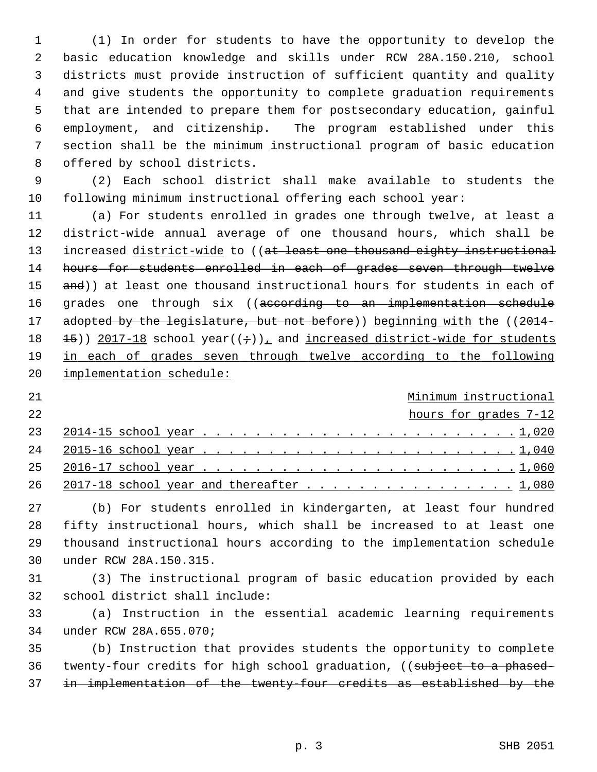1 (1) In order for students to have the opportunity to develop the 2 basic education knowledge and skills under RCW 28A.150.210, school 3 districts must provide instruction of sufficient quantity and quality 4 and give students the opportunity to complete graduation requirements 5 that are intended to prepare them for postsecondary education, gainful 6 employment, and citizenship. The program established under this 7 section shall be the minimum instructional program of basic education 8 offered by school districts.

 9 (2) Each school district shall make available to students the 10 following minimum instructional offering each school year:

11 (a) For students enrolled in grades one through twelve, at least a 12 district-wide annual average of one thousand hours, which shall be 13 increased district-wide to ((at least one thousand eighty instructional 14 hours for students enrolled in each of grades seven through twelve 15 and)) at least one thousand instructional hours for students in each of 16 grades one through six ((according to an implementation schedule 17 adopted by the legislature, but not before)) beginning with the ((2014-18  $\pm$  15)) 2017-18 school year(( $\div$ )), and increased district-wide for students 19 in each of grades seven through twelve according to the following 20 implementation schedule:

## 21 Minimum instructional

22 hours for grades 7-12

| 26 2017-18 school year and thereafter 1,080 |  |  |  |  |  |  |  |  |  |  |  |  |  |
|---------------------------------------------|--|--|--|--|--|--|--|--|--|--|--|--|--|

27 (b) For students enrolled in kindergarten, at least four hundred 28 fifty instructional hours, which shall be increased to at least one 29 thousand instructional hours according to the implementation schedule 30 under RCW 28A.150.315.

31 (3) The instructional program of basic education provided by each 32 school district shall include:

33 (a) Instruction in the essential academic learning requirements 34 under RCW 28A.655.070;

35 (b) Instruction that provides students the opportunity to complete 36 twenty-four credits for high school graduation, ((subject to a phased-37 in implementation of the twenty-four credits as established by the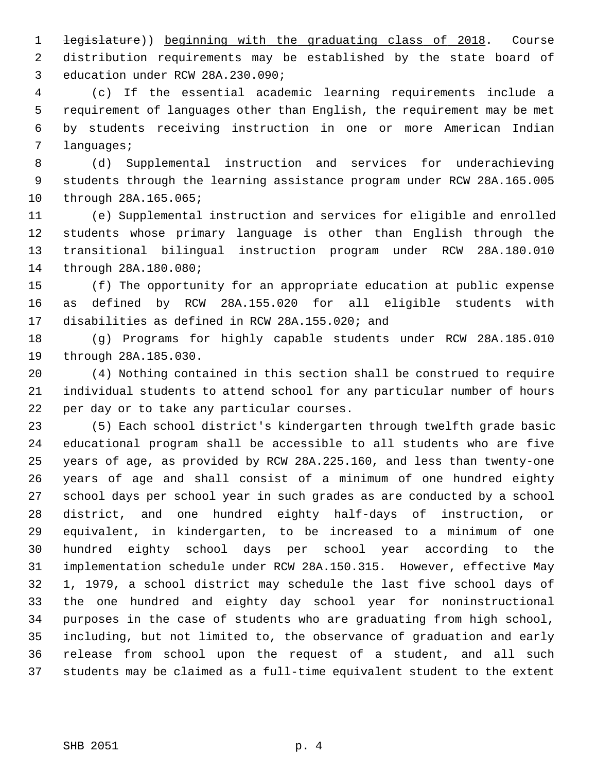1 legislature)) beginning with the graduating class of 2018. Course 2 distribution requirements may be established by the state board of 3 education under RCW 28A.230.090;

 4 (c) If the essential academic learning requirements include a 5 requirement of languages other than English, the requirement may be met 6 by students receiving instruction in one or more American Indian 7 languages;

 8 (d) Supplemental instruction and services for underachieving 9 students through the learning assistance program under RCW 28A.165.005 10 through 28A.165.065;

11 (e) Supplemental instruction and services for eligible and enrolled 12 students whose primary language is other than English through the 13 transitional bilingual instruction program under RCW 28A.180.010 14 through 28A.180.080;

15 (f) The opportunity for an appropriate education at public expense 16 as defined by RCW 28A.155.020 for all eligible students with 17 disabilities as defined in RCW 28A.155.020; and

18 (g) Programs for highly capable students under RCW 28A.185.010 19 through 28A.185.030.

20 (4) Nothing contained in this section shall be construed to require 21 individual students to attend school for any particular number of hours 22 per day or to take any particular courses.

23 (5) Each school district's kindergarten through twelfth grade basic 24 educational program shall be accessible to all students who are five 25 years of age, as provided by RCW 28A.225.160, and less than twenty-one 26 years of age and shall consist of a minimum of one hundred eighty 27 school days per school year in such grades as are conducted by a school 28 district, and one hundred eighty half-days of instruction, or 29 equivalent, in kindergarten, to be increased to a minimum of one 30 hundred eighty school days per school year according to the 31 implementation schedule under RCW 28A.150.315. However, effective May 32 1, 1979, a school district may schedule the last five school days of 33 the one hundred and eighty day school year for noninstructional 34 purposes in the case of students who are graduating from high school, 35 including, but not limited to, the observance of graduation and early 36 release from school upon the request of a student, and all such 37 students may be claimed as a full-time equivalent student to the extent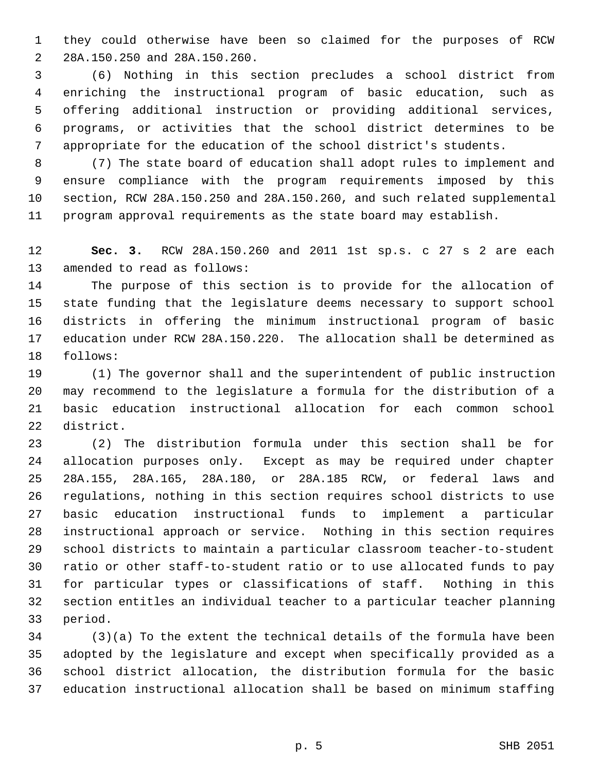1 they could otherwise have been so claimed for the purposes of RCW 2 28A.150.250 and 28A.150.260.

 3 (6) Nothing in this section precludes a school district from 4 enriching the instructional program of basic education, such as 5 offering additional instruction or providing additional services, 6 programs, or activities that the school district determines to be 7 appropriate for the education of the school district's students.

 8 (7) The state board of education shall adopt rules to implement and 9 ensure compliance with the program requirements imposed by this 10 section, RCW 28A.150.250 and 28A.150.260, and such related supplemental 11 program approval requirements as the state board may establish.

12 **Sec. 3.** RCW 28A.150.260 and 2011 1st sp.s. c 27 s 2 are each 13 amended to read as follows:

14 The purpose of this section is to provide for the allocation of 15 state funding that the legislature deems necessary to support school 16 districts in offering the minimum instructional program of basic 17 education under RCW 28A.150.220. The allocation shall be determined as 18 follows:

19 (1) The governor shall and the superintendent of public instruction 20 may recommend to the legislature a formula for the distribution of a 21 basic education instructional allocation for each common school 22 district.

23 (2) The distribution formula under this section shall be for 24 allocation purposes only. Except as may be required under chapter 25 28A.155, 28A.165, 28A.180, or 28A.185 RCW, or federal laws and 26 regulations, nothing in this section requires school districts to use 27 basic education instructional funds to implement a particular 28 instructional approach or service. Nothing in this section requires 29 school districts to maintain a particular classroom teacher-to-student 30 ratio or other staff-to-student ratio or to use allocated funds to pay 31 for particular types or classifications of staff. Nothing in this 32 section entitles an individual teacher to a particular teacher planning 33 period.

34 (3)(a) To the extent the technical details of the formula have been 35 adopted by the legislature and except when specifically provided as a 36 school district allocation, the distribution formula for the basic 37 education instructional allocation shall be based on minimum staffing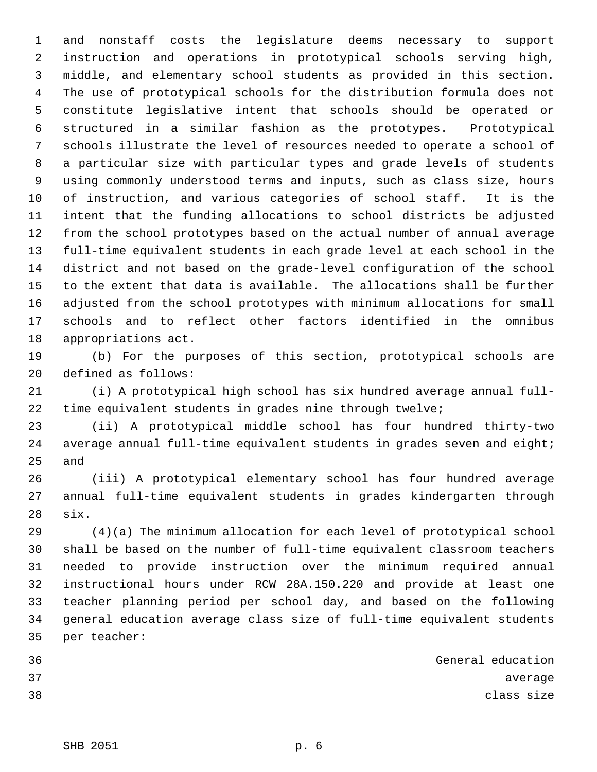1 and nonstaff costs the legislature deems necessary to support 2 instruction and operations in prototypical schools serving high, 3 middle, and elementary school students as provided in this section. 4 The use of prototypical schools for the distribution formula does not 5 constitute legislative intent that schools should be operated or 6 structured in a similar fashion as the prototypes. Prototypical 7 schools illustrate the level of resources needed to operate a school of 8 a particular size with particular types and grade levels of students 9 using commonly understood terms and inputs, such as class size, hours 10 of instruction, and various categories of school staff. It is the 11 intent that the funding allocations to school districts be adjusted 12 from the school prototypes based on the actual number of annual average 13 full-time equivalent students in each grade level at each school in the 14 district and not based on the grade-level configuration of the school 15 to the extent that data is available. The allocations shall be further 16 adjusted from the school prototypes with minimum allocations for small 17 schools and to reflect other factors identified in the omnibus 18 appropriations act.

19 (b) For the purposes of this section, prototypical schools are 20 defined as follows:

21 (i) A prototypical high school has six hundred average annual full-22 time equivalent students in grades nine through twelve;

23 (ii) A prototypical middle school has four hundred thirty-two 24 average annual full-time equivalent students in grades seven and eight; 25 and

26 (iii) A prototypical elementary school has four hundred average 27 annual full-time equivalent students in grades kindergarten through 28 six.

29 (4)(a) The minimum allocation for each level of prototypical school 30 shall be based on the number of full-time equivalent classroom teachers 31 needed to provide instruction over the minimum required annual 32 instructional hours under RCW 28A.150.220 and provide at least one 33 teacher planning period per school day, and based on the following 34 general education average class size of full-time equivalent students 35 per teacher:

| 36 | General education |            |         |
|----|-------------------|------------|---------|
| 37 |                   |            | average |
| 38 |                   | class size |         |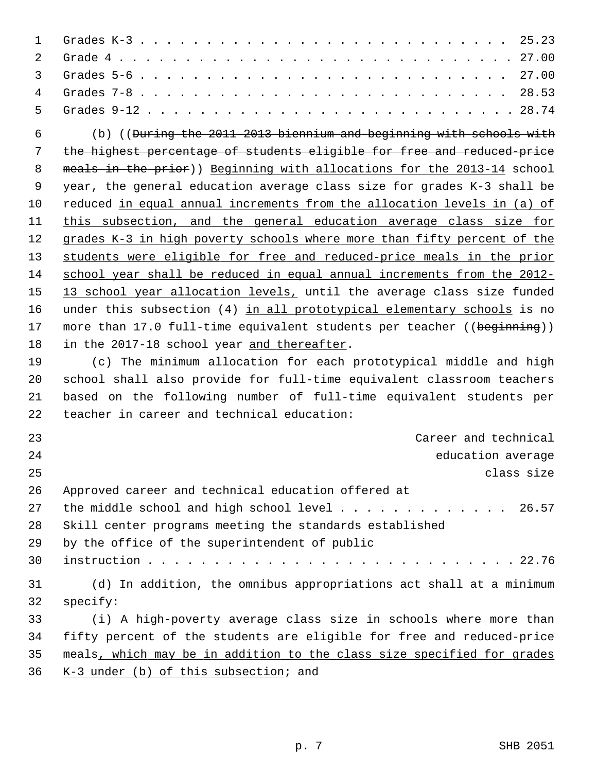| $\mathbf 1$ | 25.23                                                                           |
|-------------|---------------------------------------------------------------------------------|
| 2           |                                                                                 |
| 3           |                                                                                 |
| 4           | 28.53                                                                           |
| 5           |                                                                                 |
| 6           | (b) (( <del>During the 2011-2013 biennium and beginning with schools with</del> |
| 7           | the highest percentage of students eligible for free and reduced-price          |
| 8           | meals in the prior)) Beginning with allocations for the 2013-14 school          |
| 9           | year, the general education average class size for grades K-3 shall be          |
| 10          | reduced in equal annual increments from the allocation levels in (a) of         |
| 11          | this subsection, and the general education average class size for               |
| 12          | grades K-3 in high poverty schools where more than fifty percent of the         |
| 13          | students were eligible for free and reduced-price meals in the prior            |
| 14          | school year shall be reduced in equal annual increments from the 2012-          |
| 15          | 13 school year allocation levels, until the average class size funded           |
| 16          | under this subsection (4) in all prototypical elementary schools is no          |
| 17          | more than 17.0 full-time equivalent students per teacher ((beginning))          |
| 18          | in the 2017-18 school year and thereafter.                                      |
| 19          | (c) The minimum allocation for each prototypical middle and high                |
| 20          | school shall also provide for full-time equivalent classroom teachers           |
| 21          | based on the following number of full-time equivalent students per              |
| 22          | teacher in career and technical education:                                      |
| 23          | Career and technical                                                            |
| 24          | education average                                                               |
| 25          | class size                                                                      |
| 26          | Approved career and technical education offered at                              |
| 27          | the middle school and high school level 26.57                                   |
| 28          | Skill center programs meeting the standards established                         |
| 29          | by the office of the superintendent of public                                   |
| 30          |                                                                                 |
| 31          | (d) In addition, the omnibus appropriations act shall at a minimum              |
| 32          | specify:                                                                        |
| 33          | (i) A high-poverty average class size in schools where more than                |
| 34          | fifty percent of the students are eligible for free and reduced-price           |
| 35          | meals, which may be in addition to the class size specified for grades          |
| 36          | K-3 under (b) of this subsection; and                                           |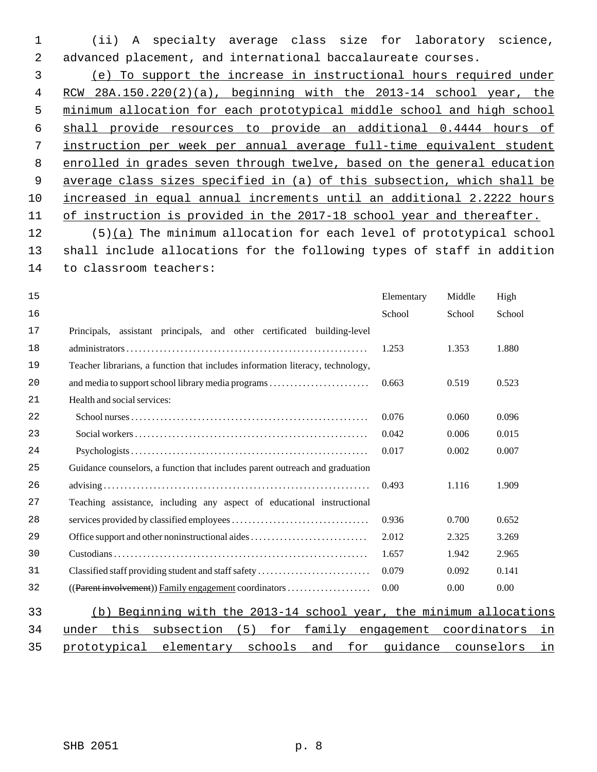1 (ii) A specialty average class size for laboratory science, 2 advanced placement, and international baccalaureate courses.

 (e) To support the increase in instructional hours required under RCW 28A.150.220(2)(a), beginning with the 2013-14 school year, the minimum allocation for each prototypical middle school and high school shall provide resources to provide an additional 0.4444 hours of instruction per week per annual average full-time equivalent student enrolled in grades seven through twelve, based on the general education average class sizes specified in (a) of this subsection, which shall be increased in equal annual increments until an additional 2.2222 hours of instruction is provided in the 2017-18 school year and thereafter.

12 (5)(a) The minimum allocation for each level of prototypical school 13 shall include allocations for the following types of staff in addition 14 to classroom teachers:

| 15 |                                                                                | Elementary | Middle       | High       |    |
|----|--------------------------------------------------------------------------------|------------|--------------|------------|----|
| 16 |                                                                                | School     | School       | School     |    |
| 17 | Principals, assistant principals, and other certificated building-level        |            |              |            |    |
| 18 |                                                                                | 1.253      | 1.353        | 1.880      |    |
| 19 | Teacher librarians, a function that includes information literacy, technology, |            |              |            |    |
| 20 | and media to support school library media programs                             | 0.663      | 0.519        | 0.523      |    |
| 21 | Health and social services:                                                    |            |              |            |    |
| 22 |                                                                                | 0.076      | 0.060        | 0.096      |    |
| 23 |                                                                                | 0.042      | 0.006        | 0.015      |    |
| 24 |                                                                                | 0.017      | 0.002        | 0.007      |    |
| 25 | Guidance counselors, a function that includes parent outreach and graduation   |            |              |            |    |
| 26 |                                                                                | 0.493      | 1.116        | 1.909      |    |
| 27 | Teaching assistance, including any aspect of educational instructional         |            |              |            |    |
| 28 |                                                                                | 0.936      | 0.700        | 0.652      |    |
| 29 | Office support and other noninstructional aides                                | 2.012      | 2.325        | 3.269      |    |
| 30 |                                                                                | 1.657      | 1.942        | 2.965      |    |
| 31 | Classified staff providing student and staff safety                            | 0.079      | 0.092        | 0.141      |    |
| 32 |                                                                                | 0.00       | 0.00         | 0.00       |    |
| 33 | Beginning with the 2013-14 school year, the minimum allocations<br>(b)         |            |              |            |    |
| 34 | this<br>5)<br>subsection<br>for<br>family<br>under                             | engagement | coordinators |            | in |
| 35 | prototypical<br>elementary<br>schools<br>for<br>and                            | quidance   |              | counselors | in |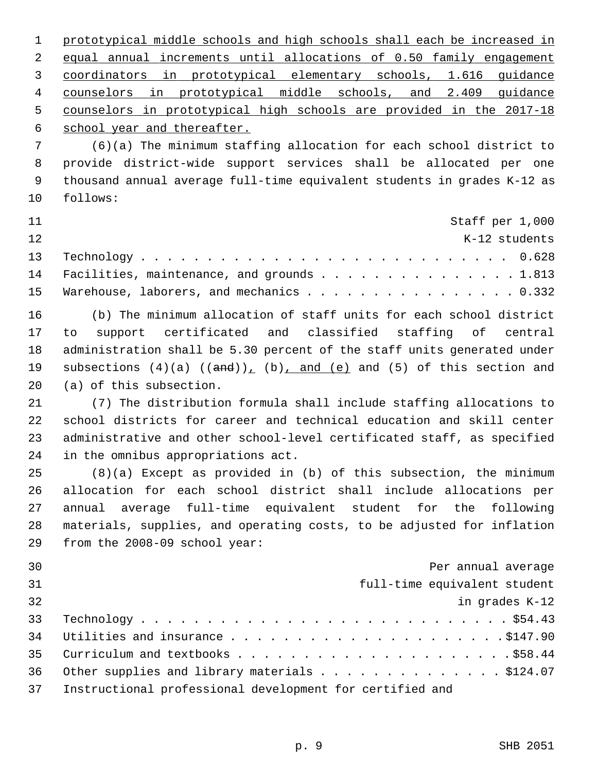prototypical middle schools and high schools shall each be increased in equal annual increments until allocations of 0.50 family engagement coordinators in prototypical elementary schools, 1.616 guidance counselors in prototypical middle schools, and 2.409 guidance counselors in prototypical high schools are provided in the 2017-18 school year and thereafter.

 7 (6)(a) The minimum staffing allocation for each school district to 8 provide district-wide support services shall be allocated per one 9 thousand annual average full-time equivalent students in grades K-12 as 10 follows:

| 11  | Staff per 1,000                               |  |
|-----|-----------------------------------------------|--|
| 12. | K-12 students                                 |  |
|     |                                               |  |
|     | 14 Facilities, maintenance, and grounds 1.813 |  |
|     | 15 Warehouse, laborers, and mechanics 0.332   |  |

16 (b) The minimum allocation of staff units for each school district 17 to support certificated and classified staffing of central 18 administration shall be 5.30 percent of the staff units generated under 19 subsections  $(4)(a)$   $((and))_1$   $(b)$ , and  $(e)$  and  $(5)$  of this section and 20 (a) of this subsection.

21 (7) The distribution formula shall include staffing allocations to 22 school districts for career and technical education and skill center 23 administrative and other school-level certificated staff, as specified 24 in the omnibus appropriations act.

25 (8)(a) Except as provided in (b) of this subsection, the minimum 26 allocation for each school district shall include allocations per 27 annual average full-time equivalent student for the following 28 materials, supplies, and operating costs, to be adjusted for inflation 29 from the 2008-09 school year:

| 30 | Per annual average                                       |
|----|----------------------------------------------------------|
| 31 | full-time equivalent student                             |
| 32 | in grades K-12                                           |
| 33 |                                                          |
| 34 |                                                          |
| 35 |                                                          |
| 36 | Other supplies and library materials \$124.07            |
| 37 | Instructional professional development for certified and |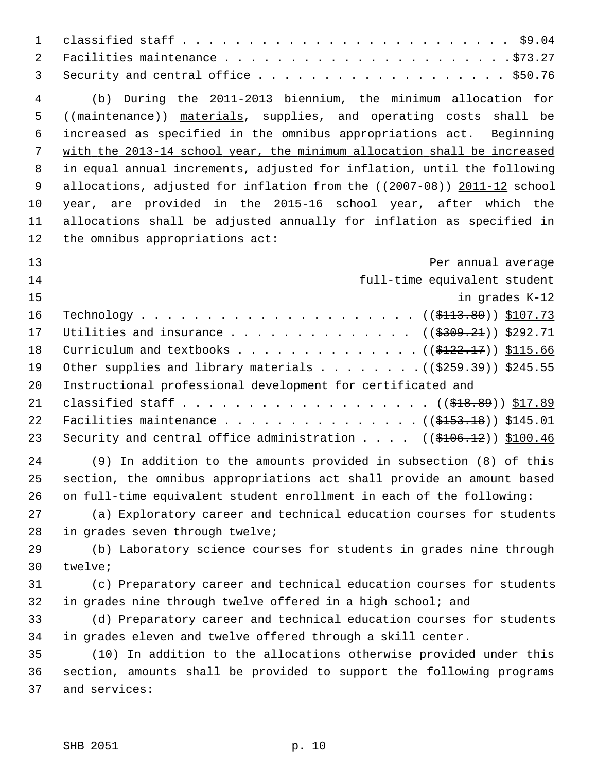| $\mathbf{1}$        |                                                                                    |
|---------------------|------------------------------------------------------------------------------------|
| $\overline{a}$<br>3 |                                                                                    |
| $\overline{4}$      | (b) During the 2011-2013 biennium, the minimum allocation for                      |
| 5                   | ((maintenance)) materials, supplies, and operating costs shall be                  |
| 6                   | increased as specified in the omnibus appropriations act. Beginning                |
| 7                   | with the 2013-14 school year, the minimum allocation shall be increased            |
| 8                   | in equal annual increments, adjusted for inflation, until the following            |
| 9                   | allocations, adjusted for inflation from the ((2007-08)) 2011-12 school            |
| 10                  | year, are provided in the 2015-16 school year, after which the                     |
| 11                  | allocations shall be adjusted annually for inflation as specified in               |
| 12                  | the omnibus appropriations act:                                                    |
| 13                  | Per annual average                                                                 |
| 14                  | full-time equivalent student                                                       |
| 15                  | in grades K-12                                                                     |
| 16                  |                                                                                    |
| 17                  | Utilities and insurance ( $(\frac{2309.21}{1})$ \$292.71                           |
| 18                  | Curriculum and textbooks ( $(\frac{\text{122.17}}{2})$ ) $\frac{\text{115.66}}{2}$ |
| 19                  | Other supplies and library materials ( $(\frac{2559.39}{})$ \$245.55               |
| 20                  | Instructional professional development for certificated and                        |
| 21                  |                                                                                    |
| 22                  | Facilities maintenance ((\$153.18)) \$145.01                                       |
| 23                  | Security and central office administration $($ $($ \$106.12 $)$ $)$ \$100.46       |
| 24                  | (9) In addition to the amounts provided in subsection (8) of this                  |
| 25                  | section, the omnibus appropriations act shall provide an amount based              |
| 26                  | on full-time equivalent student enrollment in each of the following:               |
| 27                  | (a) Exploratory career and technical education courses for students                |
| 28                  | in grades seven through twelve;                                                    |
| 29                  | (b) Laboratory science courses for students in grades nine through                 |
| 30                  | twelve;                                                                            |
| 31                  | (c) Preparatory career and technical education courses for students                |
| 32                  | in grades nine through twelve offered in a high school; and                        |
| 33                  | (d) Preparatory career and technical education courses for students                |
| 34                  | in grades eleven and twelve offered through a skill center.                        |
| 35                  | (10) In addition to the allocations otherwise provided under this                  |
| 36                  | section, amounts shall be provided to support the following programs               |
| 37                  | and services:                                                                      |
|                     |                                                                                    |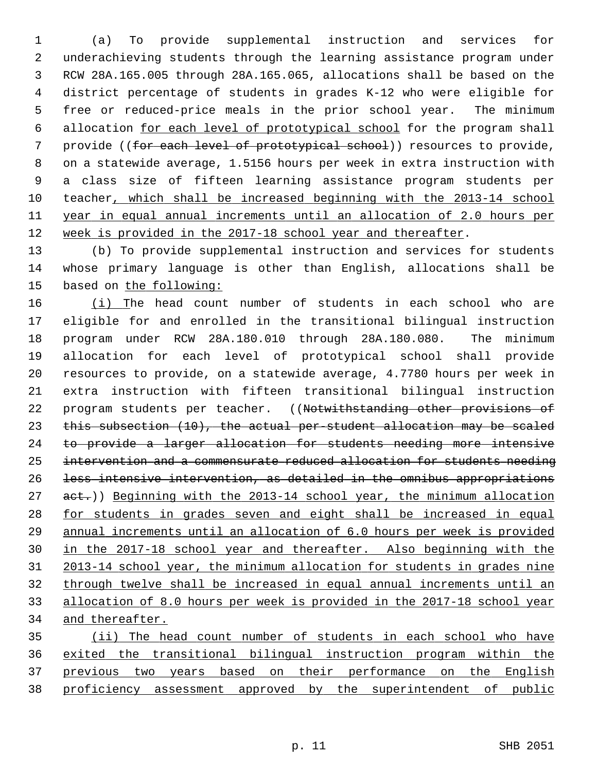1 (a) To provide supplemental instruction and services for 2 underachieving students through the learning assistance program under 3 RCW 28A.165.005 through 28A.165.065, allocations shall be based on the 4 district percentage of students in grades K-12 who were eligible for 5 free or reduced-price meals in the prior school year. The minimum 6 allocation for each level of prototypical school for the program shall 7 provide ((for each level of prototypical school)) resources to provide, 8 on a statewide average, 1.5156 hours per week in extra instruction with 9 a class size of fifteen learning assistance program students per 10 teacher, which shall be increased beginning with the 2013-14 school 11 year in equal annual increments until an allocation of 2.0 hours per 12 week is provided in the 2017-18 school year and thereafter.

13 (b) To provide supplemental instruction and services for students 14 whose primary language is other than English, allocations shall be 15 based on the following:

16 (i) The head count number of students in each school who are 17 eligible for and enrolled in the transitional bilingual instruction 18 program under RCW 28A.180.010 through 28A.180.080. The minimum 19 allocation for each level of prototypical school shall provide 20 resources to provide, on a statewide average, 4.7780 hours per week in 21 extra instruction with fifteen transitional bilingual instruction 22 program students per teacher. ((Notwithstanding other provisions of 23 this subsection (10), the actual per-student allocation may be scaled 24 to provide a larger allocation for students needing more intensive 25 intervention and a commensurate reduced allocation for students needing 26 less intensive intervention, as detailed in the omnibus appropriations 27 act.)) Beginning with the 2013-14 school year, the minimum allocation 28 for students in grades seven and eight shall be increased in equal 29 annual increments until an allocation of 6.0 hours per week is provided 30 in the 2017-18 school year and thereafter. Also beginning with the 31 2013-14 school year, the minimum allocation for students in grades nine 32 through twelve shall be increased in equal annual increments until an 33 allocation of 8.0 hours per week is provided in the 2017-18 school year 34 and thereafter.

 (ii) The head count number of students in each school who have exited the transitional bilingual instruction program within the previous two years based on their performance on the English proficiency assessment approved by the superintendent of public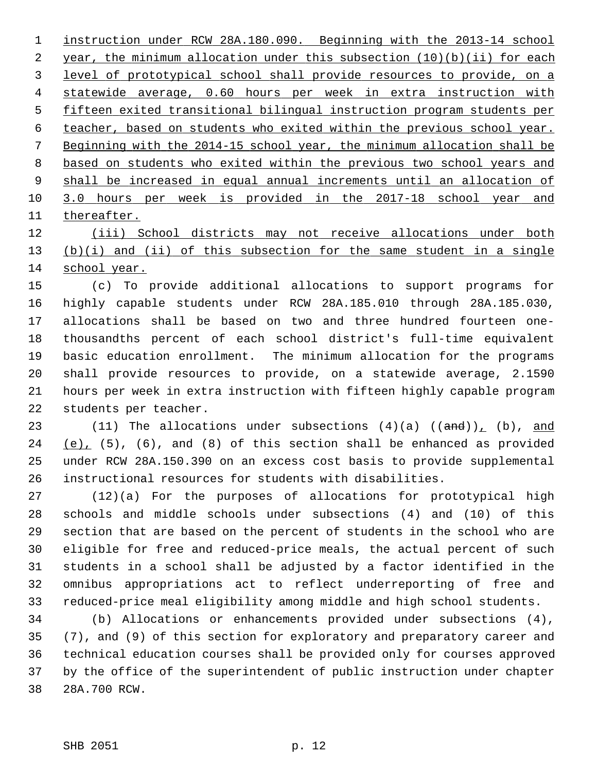instruction under RCW 28A.180.090. Beginning with the 2013-14 school year, the minimum allocation under this subsection (10)(b)(ii) for each level of prototypical school shall provide resources to provide, on a statewide average, 0.60 hours per week in extra instruction with fifteen exited transitional bilingual instruction program students per teacher, based on students who exited within the previous school year. Beginning with the 2014-15 school year, the minimum allocation shall be based on students who exited within the previous two school years and shall be increased in equal annual increments until an allocation of 3.0 hours per week is provided in the 2017-18 school year and thereafter.

12 (iii) School districts may not receive allocations under both 13 (b)(i) and (ii) of this subsection for the same student in a single 14 school year.

15 (c) To provide additional allocations to support programs for 16 highly capable students under RCW 28A.185.010 through 28A.185.030, 17 allocations shall be based on two and three hundred fourteen one-18 thousandths percent of each school district's full-time equivalent 19 basic education enrollment. The minimum allocation for the programs 20 shall provide resources to provide, on a statewide average, 2.1590 21 hours per week in extra instruction with fifteen highly capable program 22 students per teacher.

23 (11) The allocations under subsections  $(4)(a)$   $((and))_1$   $(b)$ , and 24 (e), (5), (6), and (8) of this section shall be enhanced as provided 25 under RCW 28A.150.390 on an excess cost basis to provide supplemental 26 instructional resources for students with disabilities.

27 (12)(a) For the purposes of allocations for prototypical high 28 schools and middle schools under subsections (4) and (10) of this 29 section that are based on the percent of students in the school who are 30 eligible for free and reduced-price meals, the actual percent of such 31 students in a school shall be adjusted by a factor identified in the 32 omnibus appropriations act to reflect underreporting of free and 33 reduced-price meal eligibility among middle and high school students.

34 (b) Allocations or enhancements provided under subsections (4), 35 (7), and (9) of this section for exploratory and preparatory career and 36 technical education courses shall be provided only for courses approved 37 by the office of the superintendent of public instruction under chapter 38 28A.700 RCW.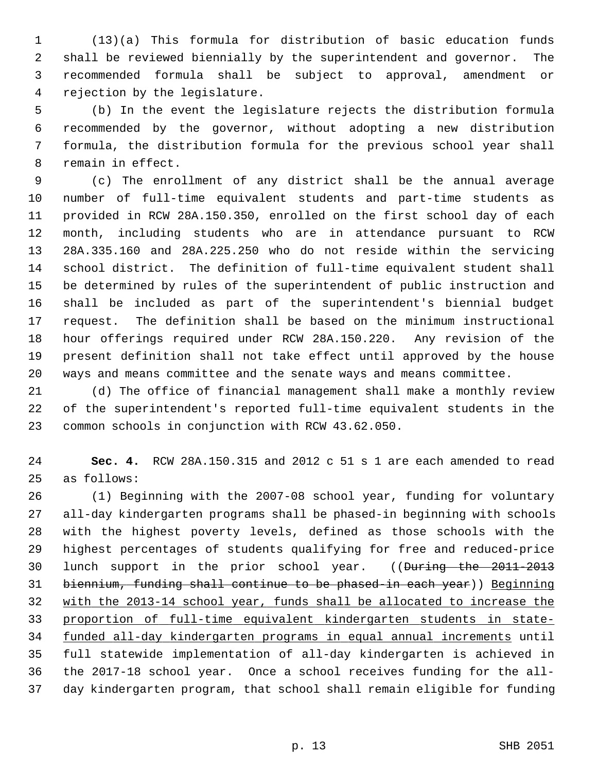1 (13)(a) This formula for distribution of basic education funds 2 shall be reviewed biennially by the superintendent and governor. The 3 recommended formula shall be subject to approval, amendment or 4 rejection by the legislature.

 5 (b) In the event the legislature rejects the distribution formula 6 recommended by the governor, without adopting a new distribution 7 formula, the distribution formula for the previous school year shall 8 remain in effect.

 9 (c) The enrollment of any district shall be the annual average 10 number of full-time equivalent students and part-time students as 11 provided in RCW 28A.150.350, enrolled on the first school day of each 12 month, including students who are in attendance pursuant to RCW 13 28A.335.160 and 28A.225.250 who do not reside within the servicing 14 school district. The definition of full-time equivalent student shall 15 be determined by rules of the superintendent of public instruction and 16 shall be included as part of the superintendent's biennial budget 17 request. The definition shall be based on the minimum instructional 18 hour offerings required under RCW 28A.150.220. Any revision of the 19 present definition shall not take effect until approved by the house 20 ways and means committee and the senate ways and means committee.

21 (d) The office of financial management shall make a monthly review 22 of the superintendent's reported full-time equivalent students in the 23 common schools in conjunction with RCW 43.62.050.

24 **Sec. 4.** RCW 28A.150.315 and 2012 c 51 s 1 are each amended to read 25 as follows:

26 (1) Beginning with the 2007-08 school year, funding for voluntary 27 all-day kindergarten programs shall be phased-in beginning with schools 28 with the highest poverty levels, defined as those schools with the 29 highest percentages of students qualifying for free and reduced-price 30 lunch support in the prior school year. ((During the 2011-2013) 31 biennium, funding shall continue to be phased-in each year)) Beginning 32 with the 2013-14 school year, funds shall be allocated to increase the 33 proportion of full-time equivalent kindergarten students in state-34 funded all-day kindergarten programs in equal annual increments until 35 full statewide implementation of all-day kindergarten is achieved in 36 the 2017-18 school year. Once a school receives funding for the all-37 day kindergarten program, that school shall remain eligible for funding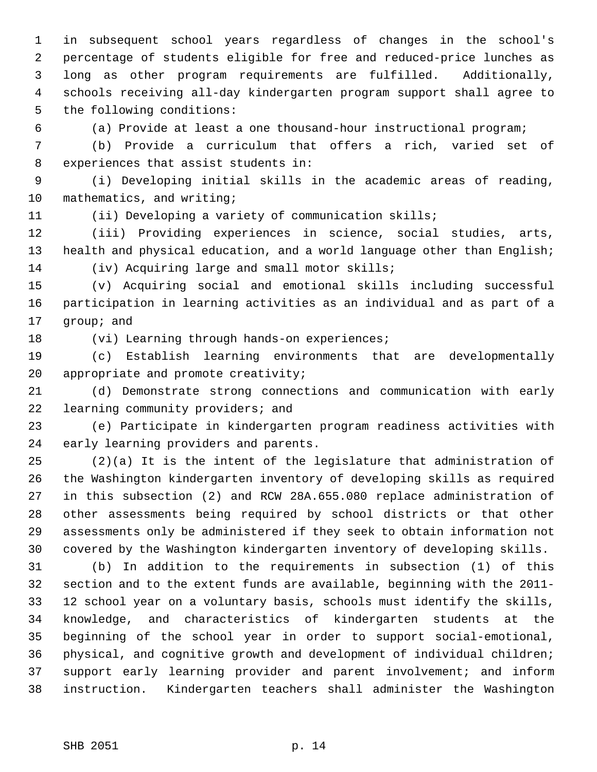1 in subsequent school years regardless of changes in the school's 2 percentage of students eligible for free and reduced-price lunches as 3 long as other program requirements are fulfilled. Additionally, 4 schools receiving all-day kindergarten program support shall agree to 5 the following conditions:

6 (a) Provide at least a one thousand-hour instructional program;

 7 (b) Provide a curriculum that offers a rich, varied set of 8 experiences that assist students in:

 9 (i) Developing initial skills in the academic areas of reading, 10 mathematics, and writing;

11 (ii) Developing a variety of communication skills;

12 (iii) Providing experiences in science, social studies, arts, 13 health and physical education, and a world language other than English; 14 (iv) Acquiring large and small motor skills;

15 (v) Acquiring social and emotional skills including successful 16 participation in learning activities as an individual and as part of a 17 group; and

18 (vi) Learning through hands-on experiences;

19 (c) Establish learning environments that are developmentally 20 appropriate and promote creativity;

21 (d) Demonstrate strong connections and communication with early 22 learning community providers; and

23 (e) Participate in kindergarten program readiness activities with 24 early learning providers and parents.

25 (2)(a) It is the intent of the legislature that administration of 26 the Washington kindergarten inventory of developing skills as required 27 in this subsection (2) and RCW 28A.655.080 replace administration of 28 other assessments being required by school districts or that other 29 assessments only be administered if they seek to obtain information not 30 covered by the Washington kindergarten inventory of developing skills.

31 (b) In addition to the requirements in subsection (1) of this 32 section and to the extent funds are available, beginning with the 2011- 33 12 school year on a voluntary basis, schools must identify the skills, 34 knowledge, and characteristics of kindergarten students at the 35 beginning of the school year in order to support social-emotional, 36 physical, and cognitive growth and development of individual children; 37 support early learning provider and parent involvement; and inform 38 instruction. Kindergarten teachers shall administer the Washington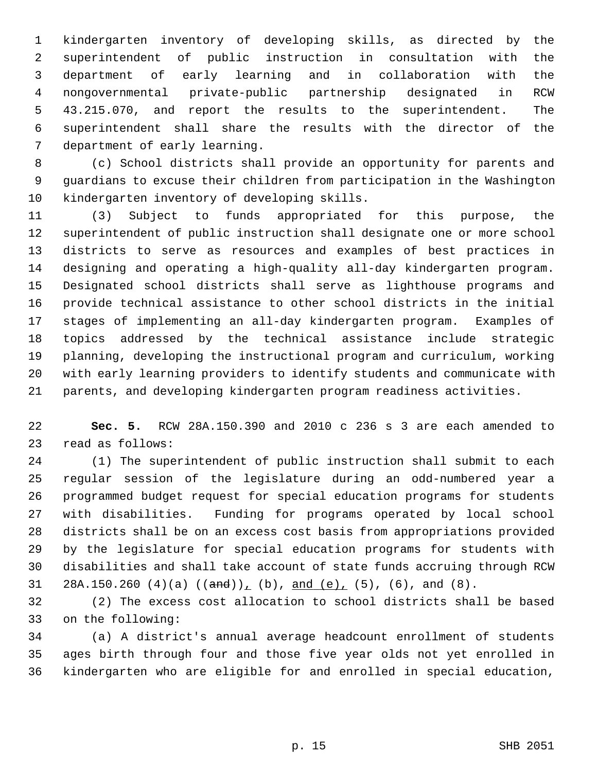1 kindergarten inventory of developing skills, as directed by the 2 superintendent of public instruction in consultation with the 3 department of early learning and in collaboration with the 4 nongovernmental private-public partnership designated in RCW 5 43.215.070, and report the results to the superintendent. The 6 superintendent shall share the results with the director of the 7 department of early learning.

 8 (c) School districts shall provide an opportunity for parents and 9 guardians to excuse their children from participation in the Washington 10 kindergarten inventory of developing skills.

11 (3) Subject to funds appropriated for this purpose, the 12 superintendent of public instruction shall designate one or more school 13 districts to serve as resources and examples of best practices in 14 designing and operating a high-quality all-day kindergarten program. 15 Designated school districts shall serve as lighthouse programs and 16 provide technical assistance to other school districts in the initial 17 stages of implementing an all-day kindergarten program. Examples of 18 topics addressed by the technical assistance include strategic 19 planning, developing the instructional program and curriculum, working 20 with early learning providers to identify students and communicate with 21 parents, and developing kindergarten program readiness activities.

22 **Sec. 5.** RCW 28A.150.390 and 2010 c 236 s 3 are each amended to 23 read as follows:

24 (1) The superintendent of public instruction shall submit to each 25 regular session of the legislature during an odd-numbered year a 26 programmed budget request for special education programs for students 27 with disabilities. Funding for programs operated by local school 28 districts shall be on an excess cost basis from appropriations provided 29 by the legislature for special education programs for students with 30 disabilities and shall take account of state funds accruing through RCW 31 28A.150.260 (4)(a)  $((and))$ , (b), and (e), (5), (6), and (8).

32 (2) The excess cost allocation to school districts shall be based 33 on the following:

34 (a) A district's annual average headcount enrollment of students 35 ages birth through four and those five year olds not yet enrolled in 36 kindergarten who are eligible for and enrolled in special education,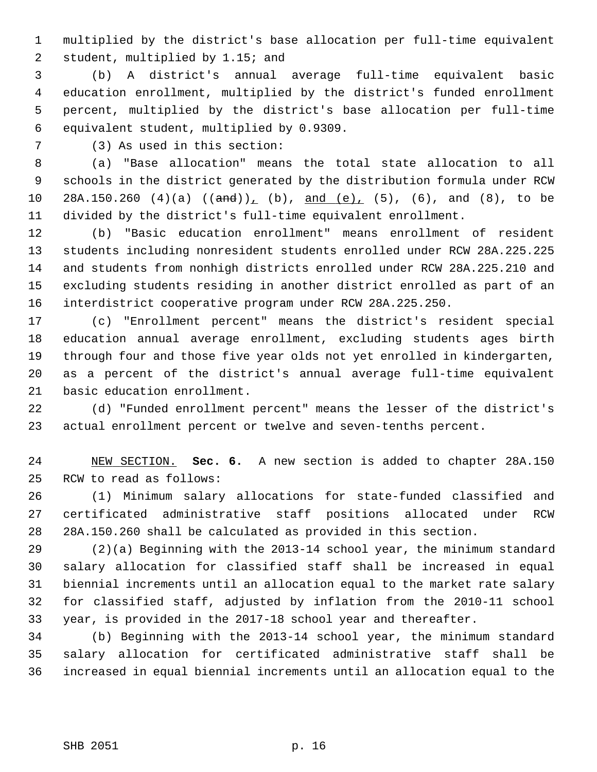1 multiplied by the district's base allocation per full-time equivalent 2 student, multiplied by 1.15; and

 3 (b) A district's annual average full-time equivalent basic 4 education enrollment, multiplied by the district's funded enrollment 5 percent, multiplied by the district's base allocation per full-time 6 equivalent student, multiplied by 0.9309.

7 (3) As used in this section:

 8 (a) "Base allocation" means the total state allocation to all 9 schools in the district generated by the distribution formula under RCW 10 28A.150.260 (4)(a)  $((and))$ , (b), and (e), (5), (6), and (8), to be 11 divided by the district's full-time equivalent enrollment.

12 (b) "Basic education enrollment" means enrollment of resident 13 students including nonresident students enrolled under RCW 28A.225.225 14 and students from nonhigh districts enrolled under RCW 28A.225.210 and 15 excluding students residing in another district enrolled as part of an 16 interdistrict cooperative program under RCW 28A.225.250.

17 (c) "Enrollment percent" means the district's resident special 18 education annual average enrollment, excluding students ages birth 19 through four and those five year olds not yet enrolled in kindergarten, 20 as a percent of the district's annual average full-time equivalent 21 basic education enrollment.

22 (d) "Funded enrollment percent" means the lesser of the district's 23 actual enrollment percent or twelve and seven-tenths percent.

24 NEW SECTION. **Sec. 6.** A new section is added to chapter 28A.150 25 RCW to read as follows:

26 (1) Minimum salary allocations for state-funded classified and 27 certificated administrative staff positions allocated under RCW 28 28A.150.260 shall be calculated as provided in this section.

29 (2)(a) Beginning with the 2013-14 school year, the minimum standard 30 salary allocation for classified staff shall be increased in equal 31 biennial increments until an allocation equal to the market rate salary 32 for classified staff, adjusted by inflation from the 2010-11 school 33 year, is provided in the 2017-18 school year and thereafter.

34 (b) Beginning with the 2013-14 school year, the minimum standard 35 salary allocation for certificated administrative staff shall be 36 increased in equal biennial increments until an allocation equal to the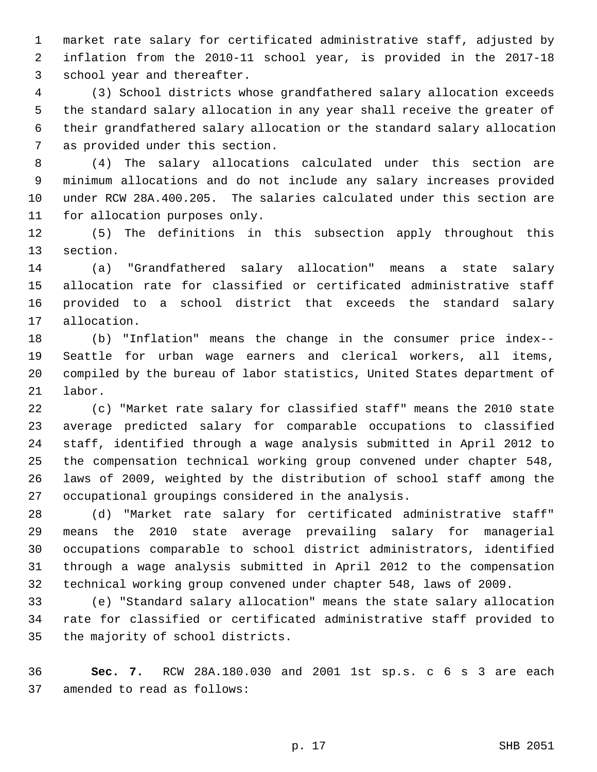1 market rate salary for certificated administrative staff, adjusted by 2 inflation from the 2010-11 school year, is provided in the 2017-18 3 school year and thereafter.

 4 (3) School districts whose grandfathered salary allocation exceeds 5 the standard salary allocation in any year shall receive the greater of 6 their grandfathered salary allocation or the standard salary allocation 7 as provided under this section.

 8 (4) The salary allocations calculated under this section are 9 minimum allocations and do not include any salary increases provided 10 under RCW 28A.400.205. The salaries calculated under this section are 11 for allocation purposes only.

12 (5) The definitions in this subsection apply throughout this 13 section.

14 (a) "Grandfathered salary allocation" means a state salary 15 allocation rate for classified or certificated administrative staff 16 provided to a school district that exceeds the standard salary 17 allocation.

18 (b) "Inflation" means the change in the consumer price index-- 19 Seattle for urban wage earners and clerical workers, all items, 20 compiled by the bureau of labor statistics, United States department of 21 labor.

22 (c) "Market rate salary for classified staff" means the 2010 state 23 average predicted salary for comparable occupations to classified 24 staff, identified through a wage analysis submitted in April 2012 to 25 the compensation technical working group convened under chapter 548, 26 laws of 2009, weighted by the distribution of school staff among the 27 occupational groupings considered in the analysis.

28 (d) "Market rate salary for certificated administrative staff" 29 means the 2010 state average prevailing salary for managerial 30 occupations comparable to school district administrators, identified 31 through a wage analysis submitted in April 2012 to the compensation 32 technical working group convened under chapter 548, laws of 2009.

33 (e) "Standard salary allocation" means the state salary allocation 34 rate for classified or certificated administrative staff provided to 35 the majority of school districts.

36 **Sec. 7.** RCW 28A.180.030 and 2001 1st sp.s. c 6 s 3 are each 37 amended to read as follows: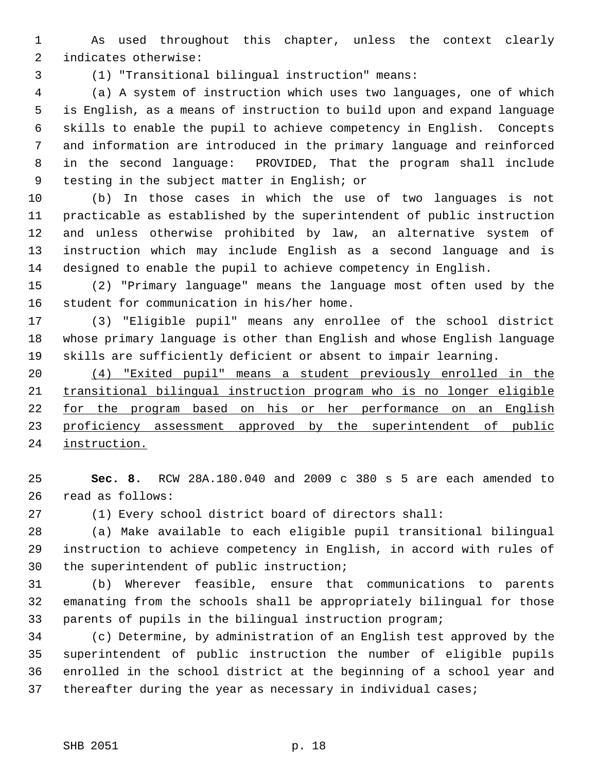1 As used throughout this chapter, unless the context clearly 2 indicates otherwise:

3 (1) "Transitional bilingual instruction" means:

 4 (a) A system of instruction which uses two languages, one of which 5 is English, as a means of instruction to build upon and expand language 6 skills to enable the pupil to achieve competency in English. Concepts 7 and information are introduced in the primary language and reinforced 8 in the second language: PROVIDED, That the program shall include 9 testing in the subject matter in English; or

10 (b) In those cases in which the use of two languages is not 11 practicable as established by the superintendent of public instruction 12 and unless otherwise prohibited by law, an alternative system of 13 instruction which may include English as a second language and is 14 designed to enable the pupil to achieve competency in English.

15 (2) "Primary language" means the language most often used by the 16 student for communication in his/her home.

17 (3) "Eligible pupil" means any enrollee of the school district 18 whose primary language is other than English and whose English language 19 skills are sufficiently deficient or absent to impair learning.

 (4) "Exited pupil" means a student previously enrolled in the transitional bilingual instruction program who is no longer eligible for the program based on his or her performance on an English 23 proficiency assessment approved by the superintendent of public instruction.

25 **Sec. 8.** RCW 28A.180.040 and 2009 c 380 s 5 are each amended to 26 read as follows:

27 (1) Every school district board of directors shall:

28 (a) Make available to each eligible pupil transitional bilingual 29 instruction to achieve competency in English, in accord with rules of 30 the superintendent of public instruction;

31 (b) Wherever feasible, ensure that communications to parents 32 emanating from the schools shall be appropriately bilingual for those 33 parents of pupils in the bilingual instruction program;

34 (c) Determine, by administration of an English test approved by the 35 superintendent of public instruction the number of eligible pupils 36 enrolled in the school district at the beginning of a school year and 37 thereafter during the year as necessary in individual cases;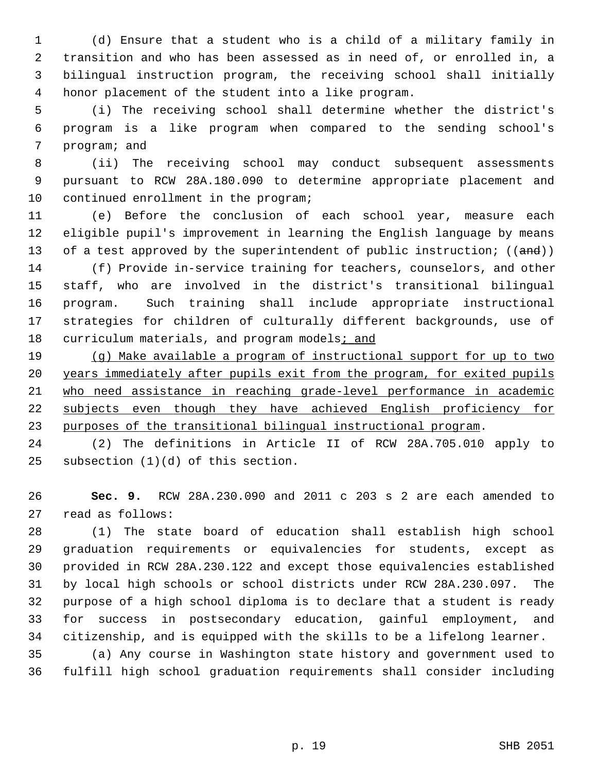1 (d) Ensure that a student who is a child of a military family in 2 transition and who has been assessed as in need of, or enrolled in, a 3 bilingual instruction program, the receiving school shall initially 4 honor placement of the student into a like program.

 5 (i) The receiving school shall determine whether the district's 6 program is a like program when compared to the sending school's 7 program; and

 8 (ii) The receiving school may conduct subsequent assessments 9 pursuant to RCW 28A.180.090 to determine appropriate placement and 10 continued enrollment in the program;

11 (e) Before the conclusion of each school year, measure each 12 eligible pupil's improvement in learning the English language by means 13 of a test approved by the superintendent of public instruction;  $((and))$ 

14 (f) Provide in-service training for teachers, counselors, and other 15 staff, who are involved in the district's transitional bilingual 16 program. Such training shall include appropriate instructional 17 strategies for children of culturally different backgrounds, use of 18 curriculum materials, and program models; and

 (g) Make available a program of instructional support for up to two years immediately after pupils exit from the program, for exited pupils who need assistance in reaching grade-level performance in academic 22 subjects even though they have achieved English proficiency for purposes of the transitional bilingual instructional program.

24 (2) The definitions in Article II of RCW 28A.705.010 apply to 25 subsection (1)(d) of this section.

26 **Sec. 9.** RCW 28A.230.090 and 2011 c 203 s 2 are each amended to 27 read as follows:

28 (1) The state board of education shall establish high school 29 graduation requirements or equivalencies for students, except as 30 provided in RCW 28A.230.122 and except those equivalencies established 31 by local high schools or school districts under RCW 28A.230.097. The 32 purpose of a high school diploma is to declare that a student is ready 33 for success in postsecondary education, gainful employment, and 34 citizenship, and is equipped with the skills to be a lifelong learner.

35 (a) Any course in Washington state history and government used to 36 fulfill high school graduation requirements shall consider including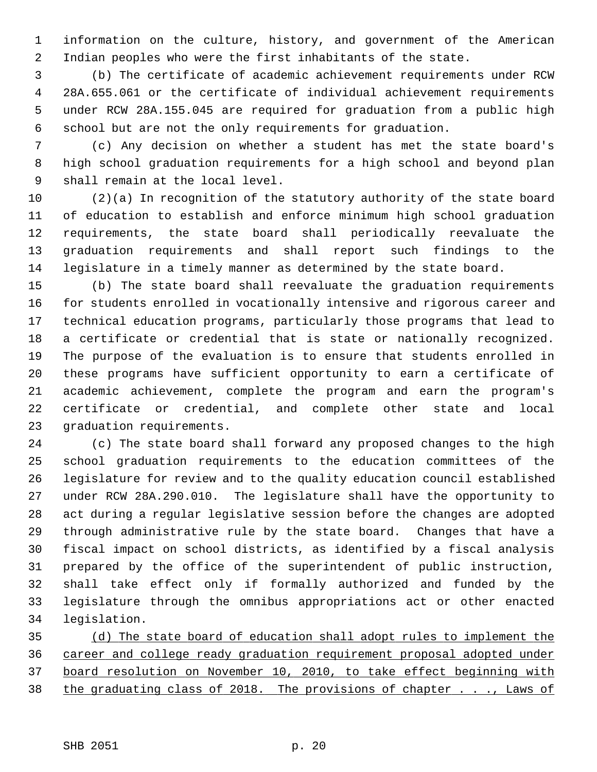1 information on the culture, history, and government of the American 2 Indian peoples who were the first inhabitants of the state.

 3 (b) The certificate of academic achievement requirements under RCW 4 28A.655.061 or the certificate of individual achievement requirements 5 under RCW 28A.155.045 are required for graduation from a public high 6 school but are not the only requirements for graduation.

 7 (c) Any decision on whether a student has met the state board's 8 high school graduation requirements for a high school and beyond plan 9 shall remain at the local level.

10 (2)(a) In recognition of the statutory authority of the state board 11 of education to establish and enforce minimum high school graduation 12 requirements, the state board shall periodically reevaluate the 13 graduation requirements and shall report such findings to the 14 legislature in a timely manner as determined by the state board.

15 (b) The state board shall reevaluate the graduation requirements 16 for students enrolled in vocationally intensive and rigorous career and 17 technical education programs, particularly those programs that lead to 18 a certificate or credential that is state or nationally recognized. 19 The purpose of the evaluation is to ensure that students enrolled in 20 these programs have sufficient opportunity to earn a certificate of 21 academic achievement, complete the program and earn the program's 22 certificate or credential, and complete other state and local 23 graduation requirements.

24 (c) The state board shall forward any proposed changes to the high 25 school graduation requirements to the education committees of the 26 legislature for review and to the quality education council established 27 under RCW 28A.290.010. The legislature shall have the opportunity to 28 act during a regular legislative session before the changes are adopted 29 through administrative rule by the state board. Changes that have a 30 fiscal impact on school districts, as identified by a fiscal analysis 31 prepared by the office of the superintendent of public instruction, 32 shall take effect only if formally authorized and funded by the 33 legislature through the omnibus appropriations act or other enacted 34 legislation.

 (d) The state board of education shall adopt rules to implement the career and college ready graduation requirement proposal adopted under board resolution on November 10, 2010, to take effect beginning with the graduating class of 2018. The provisions of chapter . . ., Laws of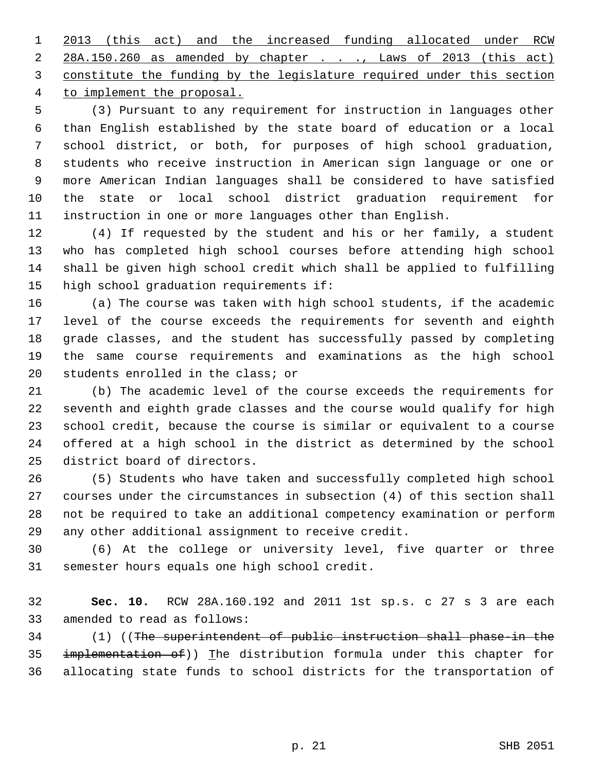2013 (this act) and the increased funding allocated under RCW 28A.150.260 as amended by chapter . . ., Laws of 2013 (this act) constitute the funding by the legislature required under this section to implement the proposal.

 5 (3) Pursuant to any requirement for instruction in languages other 6 than English established by the state board of education or a local 7 school district, or both, for purposes of high school graduation, 8 students who receive instruction in American sign language or one or 9 more American Indian languages shall be considered to have satisfied 10 the state or local school district graduation requirement for 11 instruction in one or more languages other than English.

12 (4) If requested by the student and his or her family, a student 13 who has completed high school courses before attending high school 14 shall be given high school credit which shall be applied to fulfilling 15 high school graduation requirements if:

16 (a) The course was taken with high school students, if the academic 17 level of the course exceeds the requirements for seventh and eighth 18 grade classes, and the student has successfully passed by completing 19 the same course requirements and examinations as the high school 20 students enrolled in the class; or

21 (b) The academic level of the course exceeds the requirements for 22 seventh and eighth grade classes and the course would qualify for high 23 school credit, because the course is similar or equivalent to a course 24 offered at a high school in the district as determined by the school 25 district board of directors.

26 (5) Students who have taken and successfully completed high school 27 courses under the circumstances in subsection (4) of this section shall 28 not be required to take an additional competency examination or perform 29 any other additional assignment to receive credit.

30 (6) At the college or university level, five quarter or three 31 semester hours equals one high school credit.

32 **Sec. 10.** RCW 28A.160.192 and 2011 1st sp.s. c 27 s 3 are each 33 amended to read as follows:

34 (1) ((The superintendent of public instruction shall phase-in the 35 implementation of)) The distribution formula under this chapter for 36 allocating state funds to school districts for the transportation of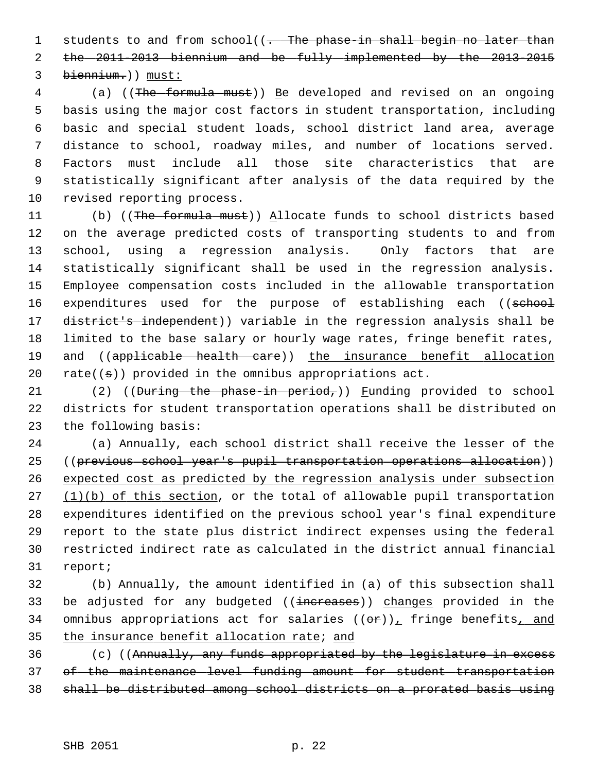1 students to and from school((. The phase-in shall begin no later than 2 the 2011-2013 biennium and be fully implemented by the 2013-2015 3 biennium.)) must:

 4 (a) ((The formula must)) Be developed and revised on an ongoing 5 basis using the major cost factors in student transportation, including 6 basic and special student loads, school district land area, average 7 distance to school, roadway miles, and number of locations served. 8 Factors must include all those site characteristics that are 9 statistically significant after analysis of the data required by the 10 revised reporting process.

11 (b) ((The formula must)) Allocate funds to school districts based 12 on the average predicted costs of transporting students to and from 13 school, using a regression analysis. Only factors that are 14 statistically significant shall be used in the regression analysis. 15 Employee compensation costs included in the allowable transportation 16 expenditures used for the purpose of establishing each ((school 17 district's independent)) variable in the regression analysis shall be 18 limited to the base salary or hourly wage rates, fringe benefit rates, 19 and ((applicable health care)) the insurance benefit allocation 20 rate( $(\pm)$ ) provided in the omnibus appropriations act.

21 (2) ((During the phase-in period,)) Funding provided to school 22 districts for student transportation operations shall be distributed on 23 the following basis:

24 (a) Annually, each school district shall receive the lesser of the 25 ((previous school year's pupil transportation operations allocation)) 26 expected cost as predicted by the regression analysis under subsection 27 (1)(b) of this section, or the total of allowable pupil transportation 28 expenditures identified on the previous school year's final expenditure 29 report to the state plus district indirect expenses using the federal 30 restricted indirect rate as calculated in the district annual financial 31 report;

32 (b) Annually, the amount identified in (a) of this subsection shall 33 be adjusted for any budgeted ((increases)) changes provided in the 34 omnibus appropriations act for salaries  $((\theta \cdot \mathbf{r}))_+$  fringe benefits, and 35 the insurance benefit allocation rate; and

36 (c) ((Annually, any funds appropriated by the legislature in excess 37 of the maintenance level funding amount for student transportation 38 shall be distributed among school districts on a prorated basis using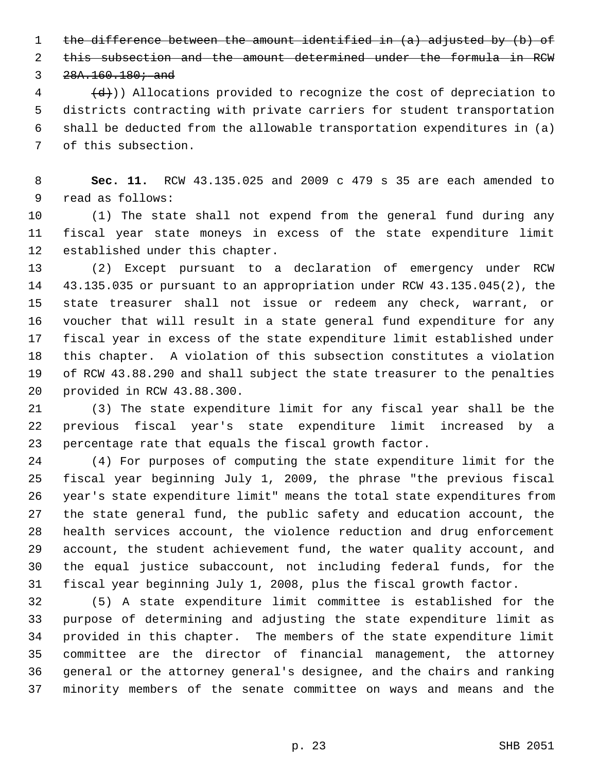1 the difference between the amount identified in (a) adjusted by (b) of

2 this subsection and the amount determined under the formula in RCW

 $3, 28A.160.180;$  and

 $\left(4 + \frac{1}{2}\right)$ ) Allocations provided to recognize the cost of depreciation to 5 districts contracting with private carriers for student transportation 6 shall be deducted from the allowable transportation expenditures in (a) 7 of this subsection.

 8 **Sec. 11.** RCW 43.135.025 and 2009 c 479 s 35 are each amended to 9 read as follows:

10 (1) The state shall not expend from the general fund during any 11 fiscal year state moneys in excess of the state expenditure limit 12 established under this chapter.

13 (2) Except pursuant to a declaration of emergency under RCW 14 43.135.035 or pursuant to an appropriation under RCW 43.135.045(2), the 15 state treasurer shall not issue or redeem any check, warrant, or 16 voucher that will result in a state general fund expenditure for any 17 fiscal year in excess of the state expenditure limit established under 18 this chapter. A violation of this subsection constitutes a violation 19 of RCW 43.88.290 and shall subject the state treasurer to the penalties 20 provided in RCW 43.88.300.

21 (3) The state expenditure limit for any fiscal year shall be the 22 previous fiscal year's state expenditure limit increased by a 23 percentage rate that equals the fiscal growth factor.

24 (4) For purposes of computing the state expenditure limit for the 25 fiscal year beginning July 1, 2009, the phrase "the previous fiscal 26 year's state expenditure limit" means the total state expenditures from 27 the state general fund, the public safety and education account, the 28 health services account, the violence reduction and drug enforcement 29 account, the student achievement fund, the water quality account, and 30 the equal justice subaccount, not including federal funds, for the 31 fiscal year beginning July 1, 2008, plus the fiscal growth factor.

32 (5) A state expenditure limit committee is established for the 33 purpose of determining and adjusting the state expenditure limit as 34 provided in this chapter. The members of the state expenditure limit 35 committee are the director of financial management, the attorney 36 general or the attorney general's designee, and the chairs and ranking 37 minority members of the senate committee on ways and means and the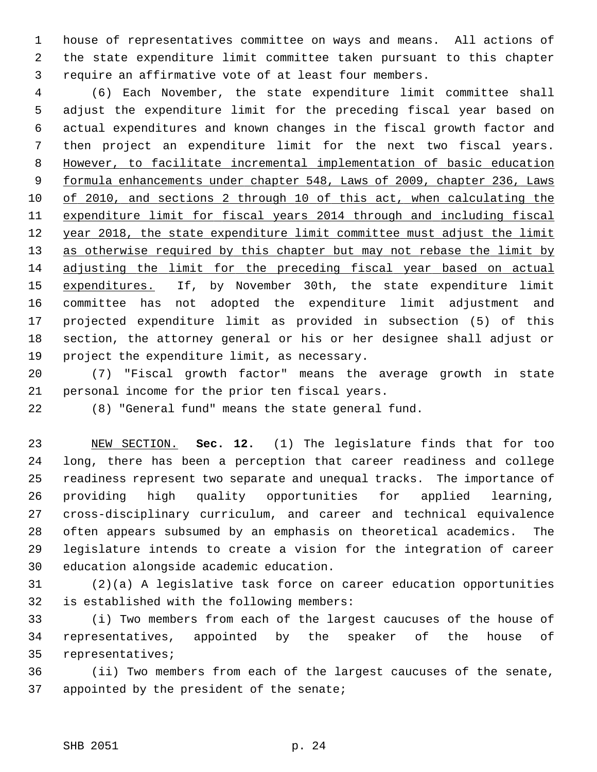1 house of representatives committee on ways and means. All actions of 2 the state expenditure limit committee taken pursuant to this chapter 3 require an affirmative vote of at least four members.

 4 (6) Each November, the state expenditure limit committee shall 5 adjust the expenditure limit for the preceding fiscal year based on 6 actual expenditures and known changes in the fiscal growth factor and 7 then project an expenditure limit for the next two fiscal years. 8 However, to facilitate incremental implementation of basic education 9 formula enhancements under chapter 548, Laws of 2009, chapter 236, Laws 10 of 2010, and sections 2 through 10 of this act, when calculating the 11 expenditure limit for fiscal years 2014 through and including fiscal 12 year 2018, the state expenditure limit committee must adjust the limit 13 as otherwise required by this chapter but may not rebase the limit by 14 adjusting the limit for the preceding fiscal year based on actual 15 expenditures. If, by November 30th, the state expenditure limit 16 committee has not adopted the expenditure limit adjustment and 17 projected expenditure limit as provided in subsection (5) of this 18 section, the attorney general or his or her designee shall adjust or 19 project the expenditure limit, as necessary.

20 (7) "Fiscal growth factor" means the average growth in state 21 personal income for the prior ten fiscal years.

22 (8) "General fund" means the state general fund.

23 NEW SECTION. **Sec. 12.** (1) The legislature finds that for too 24 long, there has been a perception that career readiness and college 25 readiness represent two separate and unequal tracks. The importance of 26 providing high quality opportunities for applied learning, 27 cross-disciplinary curriculum, and career and technical equivalence 28 often appears subsumed by an emphasis on theoretical academics. The 29 legislature intends to create a vision for the integration of career 30 education alongside academic education.

31 (2)(a) A legislative task force on career education opportunities 32 is established with the following members:

33 (i) Two members from each of the largest caucuses of the house of 34 representatives, appointed by the speaker of the house of 35 representatives;

36 (ii) Two members from each of the largest caucuses of the senate, 37 appointed by the president of the senate;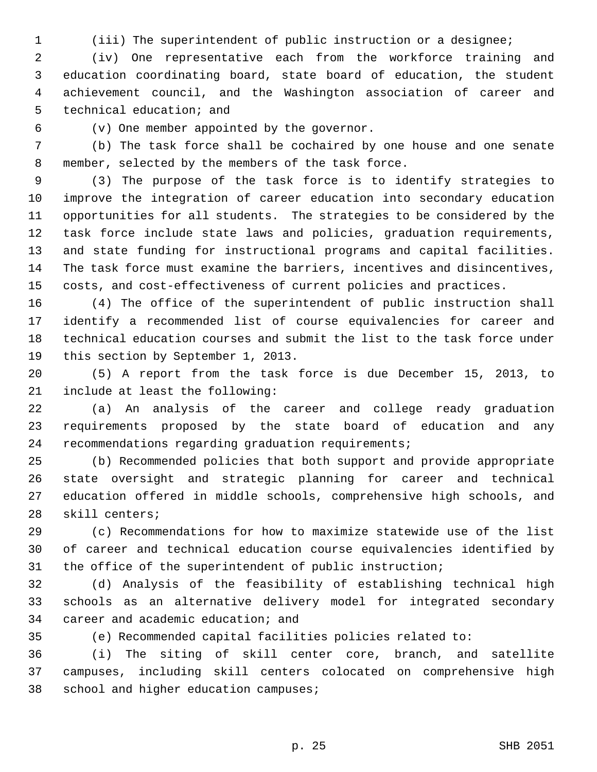1 (iii) The superintendent of public instruction or a designee;

 2 (iv) One representative each from the workforce training and 3 education coordinating board, state board of education, the student 4 achievement council, and the Washington association of career and 5 technical education; and

6 (v) One member appointed by the governor.

 7 (b) The task force shall be cochaired by one house and one senate 8 member, selected by the members of the task force.

 9 (3) The purpose of the task force is to identify strategies to 10 improve the integration of career education into secondary education 11 opportunities for all students. The strategies to be considered by the 12 task force include state laws and policies, graduation requirements, 13 and state funding for instructional programs and capital facilities. 14 The task force must examine the barriers, incentives and disincentives, 15 costs, and cost-effectiveness of current policies and practices.

16 (4) The office of the superintendent of public instruction shall 17 identify a recommended list of course equivalencies for career and 18 technical education courses and submit the list to the task force under 19 this section by September 1, 2013.

20 (5) A report from the task force is due December 15, 2013, to 21 include at least the following:

22 (a) An analysis of the career and college ready graduation 23 requirements proposed by the state board of education and any 24 recommendations regarding graduation requirements;

25 (b) Recommended policies that both support and provide appropriate 26 state oversight and strategic planning for career and technical 27 education offered in middle schools, comprehensive high schools, and 28 skill centers;

29 (c) Recommendations for how to maximize statewide use of the list 30 of career and technical education course equivalencies identified by 31 the office of the superintendent of public instruction;

32 (d) Analysis of the feasibility of establishing technical high 33 schools as an alternative delivery model for integrated secondary 34 career and academic education; and

35 (e) Recommended capital facilities policies related to:

36 (i) The siting of skill center core, branch, and satellite 37 campuses, including skill centers colocated on comprehensive high 38 school and higher education campuses;